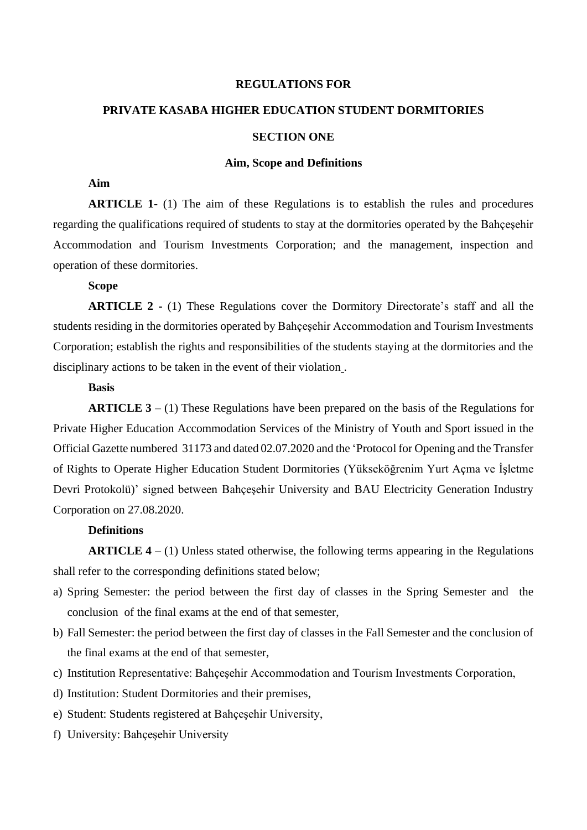## **REGULATIONS FOR**

# **PRIVATE KASABA HIGHER EDUCATION STUDENT DORMITORIES SECTION ONE**

### **Aim, Scope and Definitions**

## **Aim**

**ARTICLE 1-** (1) The aim of these Regulations is to establish the rules and procedures regarding the qualifications required of students to stay at the dormitories operated by the Bahçeşehir Accommodation and Tourism Investments Corporation; and the management, inspection and operation of these dormitories.

## **Scope**

**ARTICLE 2 -** (1) These Regulations cover the Dormitory Directorate's staff and all the students residing in the dormitories operated by Bahçeşehir Accommodation and Tourism Investments Corporation; establish the rights and responsibilities of the students staying at the dormitories and the disciplinary actions to be taken in the event of their violation .

## **Basis**

**ARTICLE 3** – (1) These Regulations have been prepared on the basis of the Regulations for Private Higher Education Accommodation Services of the Ministry of Youth and Sport issued in the Official Gazette numbered 31173 and dated 02.07.2020 and the 'Protocol for Opening and the Transfer of Rights to Operate Higher Education Student Dormitories (Yükseköğrenim Yurt Açma ve İşletme Devri Protokolü)' signed between Bahçeşehir University and BAU Electricity Generation Industry Corporation on 27.08.2020.

### **Definitions**

**ARTICLE 4** – (1) Unless stated otherwise, the following terms appearing in the Regulations shall refer to the corresponding definitions stated below;

- a) Spring Semester: the period between the first day of classes in the Spring Semester and the conclusion of the final exams at the end of that semester,
- b) Fall Semester: the period between the first day of classes in the Fall Semester and the conclusion of the final exams at the end of that semester,
- c) Institution Representative: Bahçeşehir Accommodation and Tourism Investments Corporation,
- d) Institution: Student Dormitories and their premises,
- e) Student: Students registered at Bahçeşehir University,
- f) University: Bahçeşehir University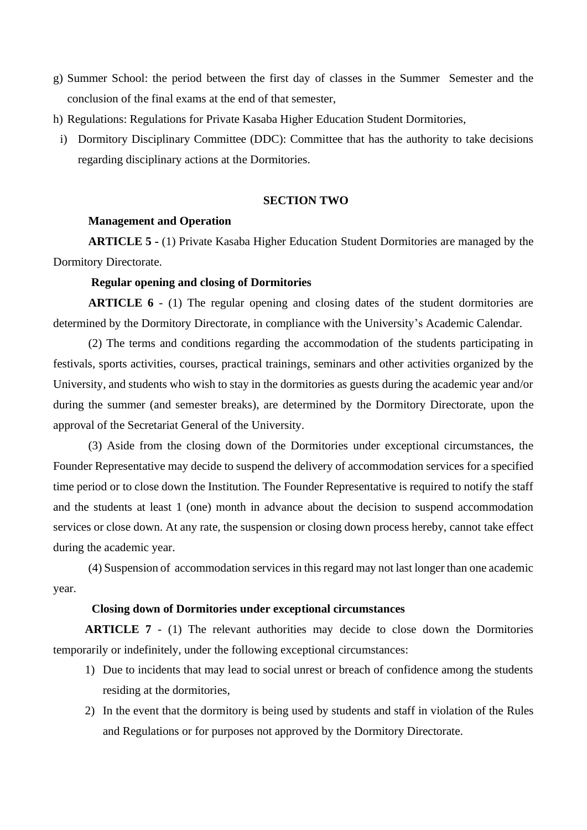- g) Summer School: the period between the first day of classes in the Summer Semester and the conclusion of the final exams at the end of that semester,
- h) Regulations: Regulations for Private Kasaba Higher Education Student Dormitories,
- i) Dormitory Disciplinary Committee (DDC): Committee that has the authority to take decisions regarding disciplinary actions at the Dormitories.

## **SECTION TWO**

### **Management and Operation**

**ARTICLE 5 -** (1) Private Kasaba Higher Education Student Dormitories are managed by the Dormitory Directorate.

## **Regular opening and closing of Dormitories**

**ARTICLE 6** - (1) The regular opening and closing dates of the student dormitories are determined by the Dormitory Directorate, in compliance with the University's Academic Calendar.

(2) The terms and conditions regarding the accommodation of the students participating in festivals, sports activities, courses, practical trainings, seminars and other activities organized by the University, and students who wish to stay in the dormitories as guests during the academic year and/or during the summer (and semester breaks), are determined by the Dormitory Directorate, upon the approval of the Secretariat General of the University.

(3) Aside from the closing down of the Dormitories under exceptional circumstances, the Founder Representative may decide to suspend the delivery of accommodation services for a specified time period or to close down the Institution. The Founder Representative is required to notify the staff and the students at least 1 (one) month in advance about the decision to suspend accommodation services or close down. At any rate, the suspension or closing down process hereby, cannot take effect during the academic year.

(4) Suspension of accommodation services in this regard may not last longer than one academic year.

## **Closing down of Dormitories under exceptional circumstances**

**ARTICLE 7** - (1) The relevant authorities may decide to close down the Dormitories temporarily or indefinitely, under the following exceptional circumstances:

- 1) Due to incidents that may lead to social unrest or breach of confidence among the students residing at the dormitories,
- 2) In the event that the dormitory is being used by students and staff in violation of the Rules and Regulations or for purposes not approved by the Dormitory Directorate.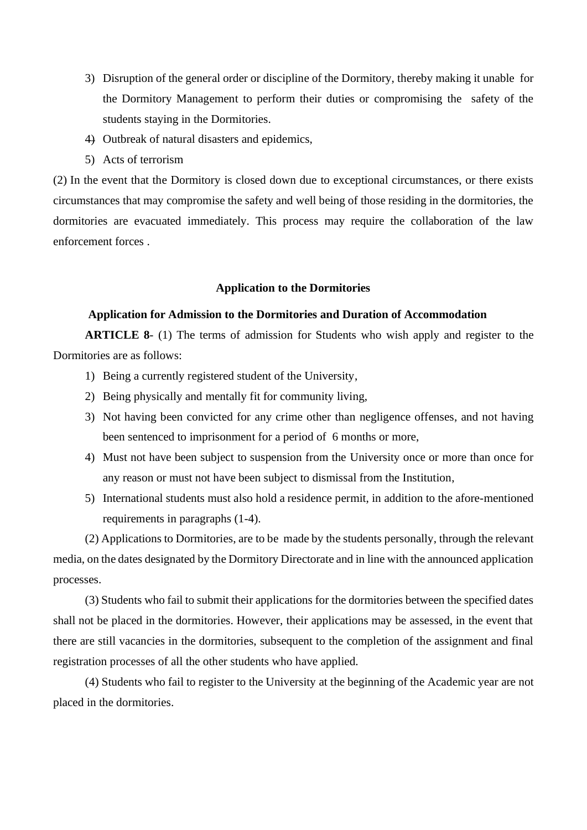- 3) Disruption of the general order or discipline of the Dormitory, thereby making it unable for the Dormitory Management to perform their duties or compromising the safety of the students staying in the Dormitories.
- 4) Outbreak of natural disasters and epidemics,
- 5) Acts of terrorism

(2) In the event that the Dormitory is closed down due to exceptional circumstances, or there exists circumstances that may compromise the safety and well being of those residing in the dormitories, the dormitories are evacuated immediately. This process may require the collaboration of the law enforcement forces .

## **Application to the Dormitories**

## **Application for Admission to the Dormitories and Duration of Accommodation**

**ARTICLE 8**- (1) The terms of admission for Students who wish apply and register to the Dormitories are as follows:

- 1) Being a currently registered student of the University,
- 2) Being physically and mentally fit for community living,
- 3) Not having been convicted for any crime other than negligence offenses, and not having been sentenced to imprisonment for a period of 6 months or more,
- 4) Must not have been subject to suspension from the University once or more than once for any reason or must not have been subject to dismissal from the Institution,
- 5) International students must also hold a residence permit, in addition to the afore-mentioned requirements in paragraphs (1-4).

(2) Applications to Dormitories, are to be made by the students personally, through the relevant media, on the dates designated by the Dormitory Directorate and in line with the announced application processes.

(3) Students who fail to submit their applications for the dormitories between the specified dates shall not be placed in the dormitories. However, their applications may be assessed, in the event that there are still vacancies in the dormitories, subsequent to the completion of the assignment and final registration processes of all the other students who have applied.

(4) Students who fail to register to the University at the beginning of the Academic year are not placed in the dormitories.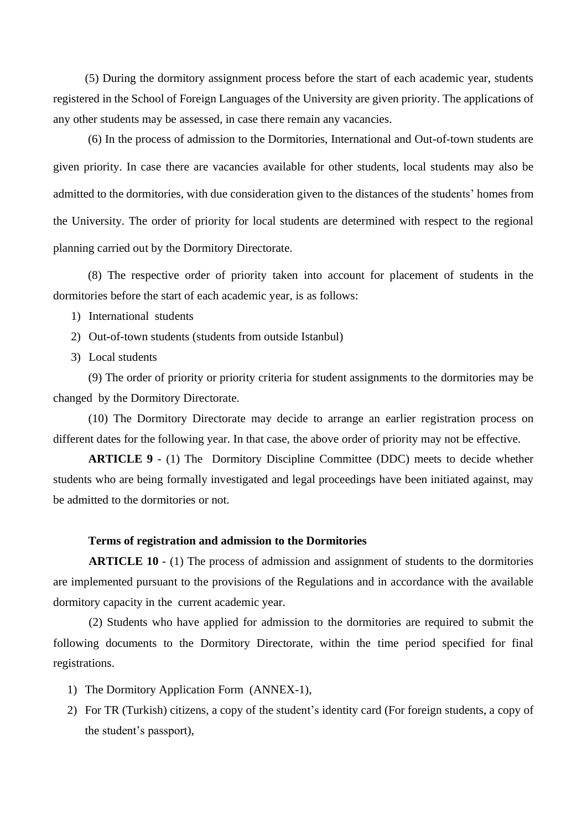(5) During the dormitory assignment process before the start of each academic year, students registered in the School of Foreign Languages of the University are given priority. The applications of any other students may be assessed, in case there remain any vacancies.

(6) In the process of admission to the Dormitories, International and Out-of-town students are given priority. In case there are vacancies available for other students, local students may also be admitted to the dormitories, with due consideration given to the distances of the students' homes from the University. The order of priority for local students are determined with respect to the regional planning carried out by the Dormitory Directorate.

(8) The respective order of priority taken into account for placement of students in the dormitories before the start of each academic year, is as follows:

- 1) International students
- 2) Out-of-town students (students from outside Istanbul)
- 3) Local students

(9) The order of priority or priority criteria for student assignments to the dormitories may be changed by the Dormitory Directorate.

(10) The Dormitory Directorate may decide to arrange an earlier registration process on different dates for the following year. In that case, the above order of priority may not be effective.

**ARTICLE 9** - (1) The Dormitory Discipline Committee (DDC) meets to decide whether students who are being formally investigated and legal proceedings have been initiated against, may be admitted to the dormitories or not.

### **Terms of registration and admission to the Dormitories**

**ARTICLE 10** - (1) The process of admission and assignment of students to the dormitories are implemented pursuant to the provisions of the Regulations and in accordance with the available dormitory capacity in the current academic year.

(2) Students who have applied for admission to the dormitories are required to submit the following documents to the Dormitory Directorate, within the time period specified for final registrations.

- 1) The Dormitory Application Form (ANNEX-1),
- 2) For TR (Turkish) citizens, a copy of the student's identity card (For foreign students, a copy of the student's passport),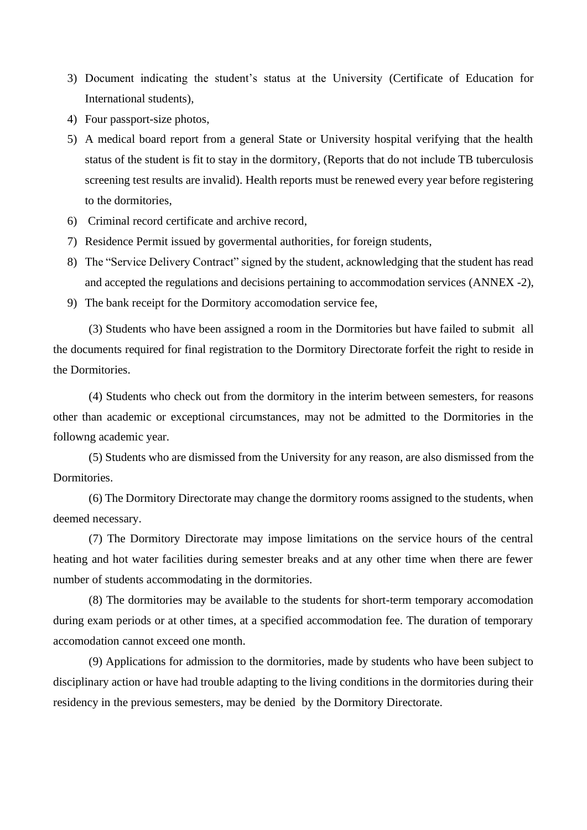- 3) Document indicating the student's status at the University (Certificate of Education for International students),
- 4) Four passport-size photos,
- 5) A medical board report from a general State or University hospital verifying that the health status of the student is fit to stay in the dormitory, (Reports that do not include TB tuberculosis screening test results are invalid). Health reports must be renewed every year before registering to the dormitories,
- 6) Criminal record certificate and archive record,
- 7) Residence Permit issued by govermental authorities, for foreign students,
- 8) The "Service Delivery Contract" signed by the student, acknowledging that the student has read and accepted the regulations and decisions pertaining to accommodation services (ANNEX -2),
- 9) The bank receipt for the Dormitory accomodation service fee,

(3) Students who have been assigned a room in the Dormitories but have failed to submit all the documents required for final registration to the Dormitory Directorate forfeit the right to reside in the Dormitories.

(4) Students who check out from the dormitory in the interim between semesters, for reasons other than academic or exceptional circumstances, may not be admitted to the Dormitories in the followng academic year.

(5) Students who are dismissed from the University for any reason, are also dismissed from the Dormitories.

(6) The Dormitory Directorate may change the dormitory rooms assigned to the students, when deemed necessary.

(7) The Dormitory Directorate may impose limitations on the service hours of the central heating and hot water facilities during semester breaks and at any other time when there are fewer number of students accommodating in the dormitories.

(8) The dormitories may be available to the students for short-term temporary accomodation during exam periods or at other times, at a specified accommodation fee. The duration of temporary accomodation cannot exceed one month.

(9) Applications for admission to the dormitories, made by students who have been subject to disciplinary action or have had trouble adapting to the living conditions in the dormitories during their residency in the previous semesters, may be denied by the Dormitory Directorate.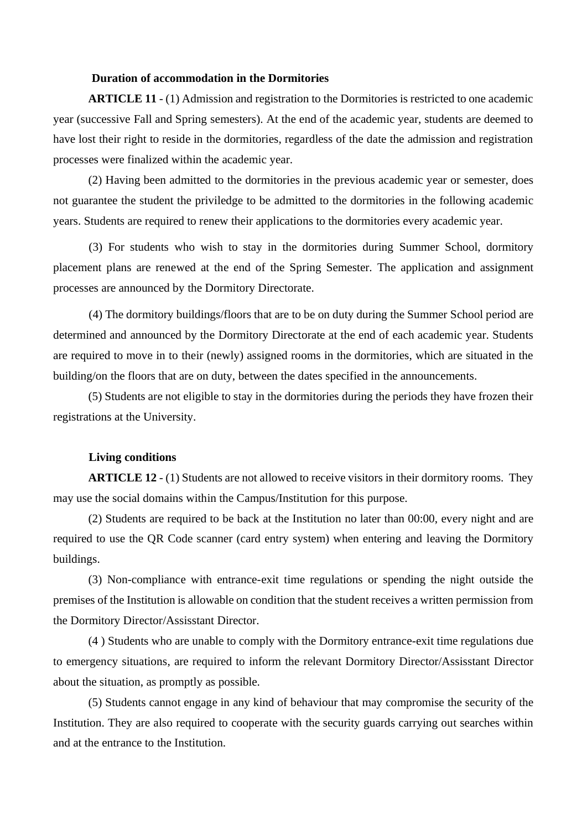### **Duration of accommodation in the Dormitories**

**ARTICLE 11** - (1) Admission and registration to the Dormitories is restricted to one academic year (successive Fall and Spring semesters). At the end of the academic year, students are deemed to have lost their right to reside in the dormitories, regardless of the date the admission and registration processes were finalized within the academic year.

(2) Having been admitted to the dormitories in the previous academic year or semester, does not guarantee the student the priviledge to be admitted to the dormitories in the following academic years. Students are required to renew their applications to the dormitories every academic year.

(3) For students who wish to stay in the dormitories during Summer School, dormitory placement plans are renewed at the end of the Spring Semester. The application and assignment processes are announced by the Dormitory Directorate.

(4) The dormitory buildings/floors that are to be on duty during the Summer School period are determined and announced by the Dormitory Directorate at the end of each academic year. Students are required to move in to their (newly) assigned rooms in the dormitories, which are situated in the building/on the floors that are on duty, between the dates specified in the announcements.

(5) Students are not eligible to stay in the dormitories during the periods they have frozen their registrations at the University.

### **Living conditions**

**ARTICLE 12** - (1) Students are not allowed to receive visitors in their dormitory rooms. They may use the social domains within the Campus/Institution for this purpose.

(2) Students are required to be back at the Institution no later than 00:00, every night and are required to use the QR Code scanner (card entry system) when entering and leaving the Dormitory buildings.

(3) Non-compliance with entrance-exit time regulations or spending the night outside the premises of the Institution is allowable on condition that the student receives a written permission from the Dormitory Director/Assisstant Director.

(4 ) Students who are unable to comply with the Dormitory entrance-exit time regulations due to emergency situations, are required to inform the relevant Dormitory Director/Assisstant Director about the situation, as promptly as possible.

(5) Students cannot engage in any kind of behaviour that may compromise the security of the Institution. They are also required to cooperate with the security guards carrying out searches within and at the entrance to the Institution.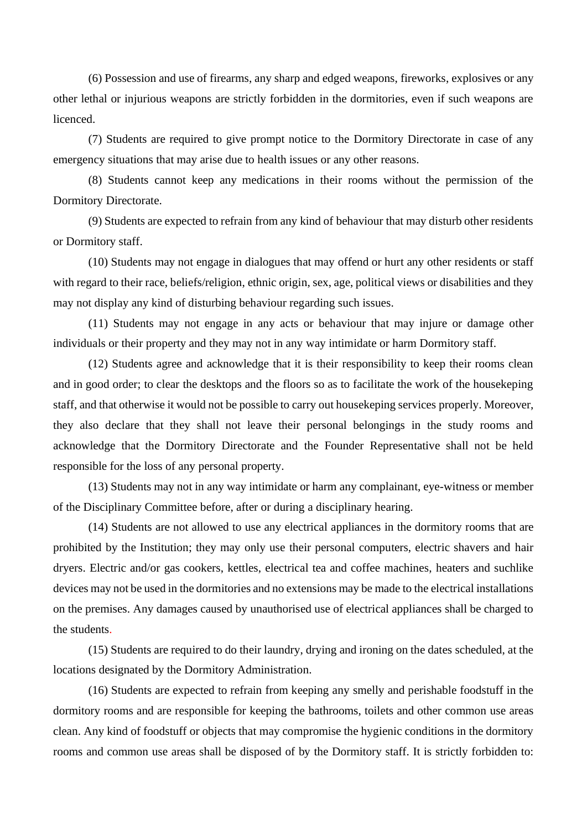(6) Possession and use of firearms, any sharp and edged weapons, fireworks, explosives or any other lethal or injurious weapons are strictly forbidden in the dormitories, even if such weapons are licenced.

(7) Students are required to give prompt notice to the Dormitory Directorate in case of any emergency situations that may arise due to health issues or any other reasons.

(8) Students cannot keep any medications in their rooms without the permission of the Dormitory Directorate.

(9) Students are expected to refrain from any kind of behaviour that may disturb other residents or Dormitory staff.

(10) Students may not engage in dialogues that may offend or hurt any other residents or staff with regard to their race, beliefs/religion, ethnic origin, sex, age, political views or disabilities and they may not display any kind of disturbing behaviour regarding such issues.

(11) Students may not engage in any acts or behaviour that may injure or damage other individuals or their property and they may not in any way intimidate or harm Dormitory staff.

(12) Students agree and acknowledge that it is their responsibility to keep their rooms clean and in good order; to clear the desktops and the floors so as to facilitate the work of the housekeping staff, and that otherwise it would not be possible to carry out housekeping services properly. Moreover, they also declare that they shall not leave their personal belongings in the study rooms and acknowledge that the Dormitory Directorate and the Founder Representative shall not be held responsible for the loss of any personal property.

(13) Students may not in any way intimidate or harm any complainant, eye-witness or member of the Disciplinary Committee before, after or during a disciplinary hearing.

(14) Students are not allowed to use any electrical appliances in the dormitory rooms that are prohibited by the Institution; they may only use their personal computers, electric shavers and hair dryers. Electric and/or gas cookers, kettles, electrical tea and coffee machines, heaters and suchlike devices may not be used in the dormitories and no extensions may be made to the electrical installations on the premises. Any damages caused by unauthorised use of electrical appliances shall be charged to the students.

(15) Students are required to do their laundry, drying and ironing on the dates scheduled, at the locations designated by the Dormitory Administration.

(16) Students are expected to refrain from keeping any smelly and perishable foodstuff in the dormitory rooms and are responsible for keeping the bathrooms, toilets and other common use areas clean. Any kind of foodstuff or objects that may compromise the hygienic conditions in the dormitory rooms and common use areas shall be disposed of by the Dormitory staff. It is strictly forbidden to: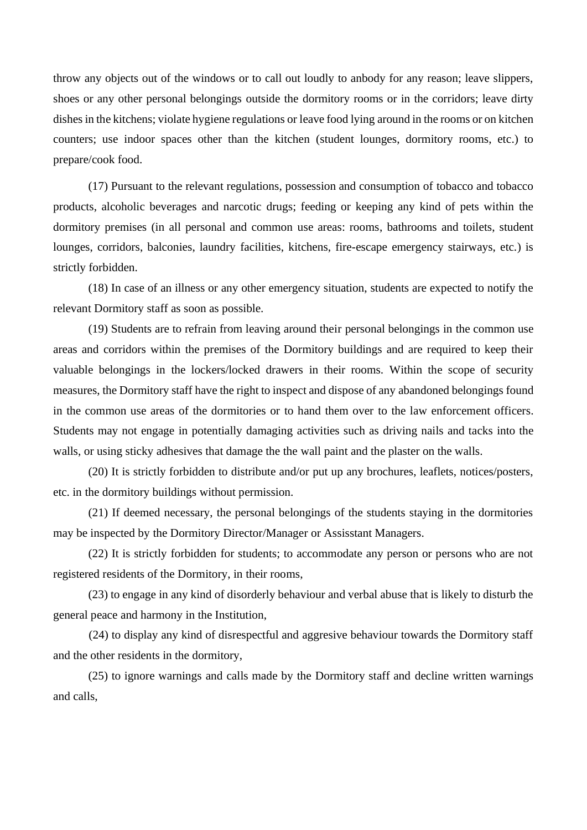throw any objects out of the windows or to call out loudly to anbody for any reason; leave slippers, shoes or any other personal belongings outside the dormitory rooms or in the corridors; leave dirty dishes in the kitchens; violate hygiene regulations or leave food lying around in the rooms or on kitchen counters; use indoor spaces other than the kitchen (student lounges, dormitory rooms, etc.) to prepare/cook food.

(17) Pursuant to the relevant regulations, possession and consumption of tobacco and tobacco products, alcoholic beverages and narcotic drugs; feeding or keeping any kind of pets within the dormitory premises (in all personal and common use areas: rooms, bathrooms and toilets, student lounges, corridors, balconies, laundry facilities, kitchens, fire-escape emergency stairways, etc.) is strictly forbidden.

(18) In case of an illness or any other emergency situation, students are expected to notify the relevant Dormitory staff as soon as possible.

(19) Students are to refrain from leaving around their personal belongings in the common use areas and corridors within the premises of the Dormitory buildings and are required to keep their valuable belongings in the lockers/locked drawers in their rooms. Within the scope of security measures, the Dormitory staff have the right to inspect and dispose of any abandoned belongings found in the common use areas of the dormitories or to hand them over to the law enforcement officers. Students may not engage in potentially damaging activities such as driving nails and tacks into the walls, or using sticky adhesives that damage the the wall paint and the plaster on the walls.

(20) It is strictly forbidden to distribute and/or put up any brochures, leaflets, notices/posters, etc. in the dormitory buildings without permission.

(21) If deemed necessary, the personal belongings of the students staying in the dormitories may be inspected by the Dormitory Director/Manager or Assisstant Managers.

(22) It is strictly forbidden for students; to accommodate any person or persons who are not registered residents of the Dormitory, in their rooms,

(23) to engage in any kind of disorderly behaviour and verbal abuse that is likely to disturb the general peace and harmony in the Institution,

 (24) to display any kind of disrespectful and aggresive behaviour towards the Dormitory staff and the other residents in the dormitory,

(25) to ignore warnings and calls made by the Dormitory staff and decline written warnings and calls,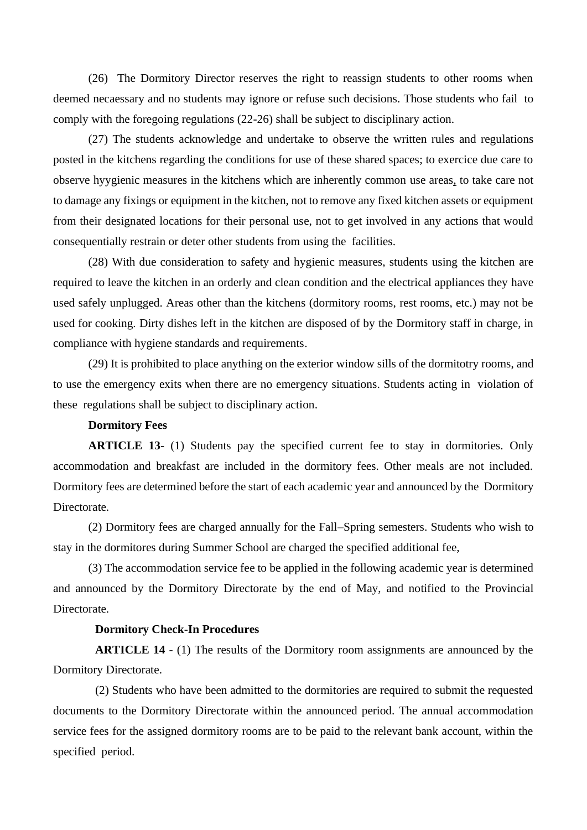(26) The Dormitory Director reserves the right to reassign students to other rooms when deemed necaessary and no students may ignore or refuse such decisions. Those students who fail to comply with the foregoing regulations (22-26) shall be subject to disciplinary action.

(27) The students acknowledge and undertake to observe the written rules and regulations posted in the kitchens regarding the conditions for use of these shared spaces; to exercice due care to observe hyygienic measures in the kitchens which are inherently common use areas, to take care not to damage any fixings or equipment in the kitchen, not to remove any fixed kitchen assets or equipment from their designated locations for their personal use, not to get involved in any actions that would consequentially restrain or deter other students from using the facilities.

(28) With due consideration to safety and hygienic measures, students using the kitchen are required to leave the kitchen in an orderly and clean condition and the electrical appliances they have used safely unplugged. Areas other than the kitchens (dormitory rooms, rest rooms, etc.) may not be used for cooking. Dirty dishes left in the kitchen are disposed of by the Dormitory staff in charge, in compliance with hygiene standards and requirements.

(29) It is prohibited to place anything on the exterior window sills of the dormitotry rooms, and to use the emergency exits when there are no emergency situations. Students acting in violation of these regulations shall be subject to disciplinary action.

### **Dormitory Fees**

**ARTICLE 13**- (1) Students pay the specified current fee to stay in dormitories. Only accommodation and breakfast are included in the dormitory fees. Other meals are not included. Dormitory fees are determined before the start of each academic year and announced by the Dormitory Directorate.

(2) Dormitory fees are charged annually for the Fall–Spring semesters. Students who wish to stay in the dormitores during Summer School are charged the specified additional fee,

(3) The accommodation service fee to be applied in the following academic year is determined and announced by the Dormitory Directorate by the end of May, and notified to the Provincial Directorate.

### **Dormitory Check-In Procedures**

**ARTICLE 14** - (1) The results of the Dormitory room assignments are announced by the Dormitory Directorate.

(2) Students who have been admitted to the dormitories are required to submit the requested documents to the Dormitory Directorate within the announced period. The annual accommodation service fees for the assigned dormitory rooms are to be paid to the relevant bank account, within the specified period.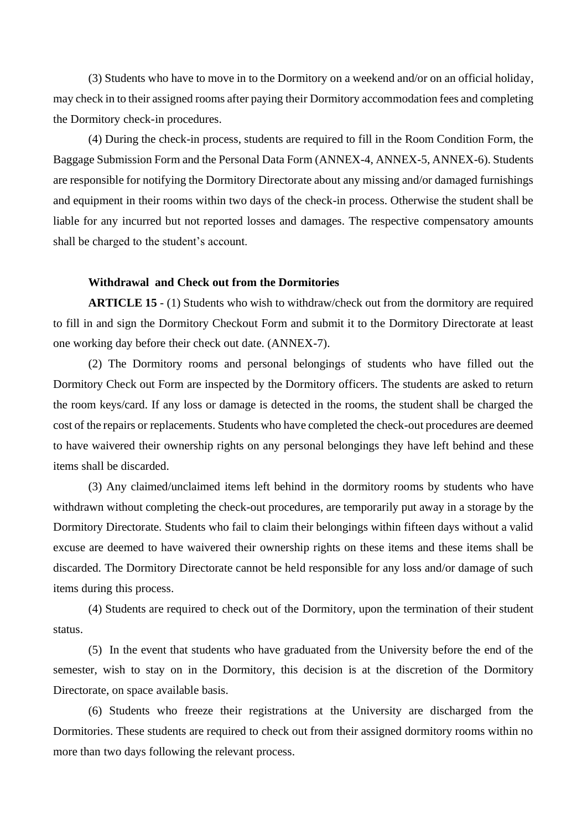(3) Students who have to move in to the Dormitory on a weekend and/or on an official holiday, may check in to their assigned rooms after paying their Dormitory accommodation fees and completing the Dormitory check-in procedures.

(4) During the check-in process, students are required to fill in the Room Condition Form, the Baggage Submission Form and the Personal Data Form (ANNEX-4, ANNEX-5, ANNEX-6). Students are responsible for notifying the Dormitory Directorate about any missing and/or damaged furnishings and equipment in their rooms within two days of the check-in process. Otherwise the student shall be liable for any incurred but not reported losses and damages. The respective compensatory amounts shall be charged to the student's account.

### **Withdrawal and Check out from the Dormitories**

**ARTICLE 15** - (1) Students who wish to withdraw/check out from the dormitory are required to fill in and sign the Dormitory Checkout Form and submit it to the Dormitory Directorate at least one working day before their check out date. (ANNEX-7).

(2) The Dormitory rooms and personal belongings of students who have filled out the Dormitory Check out Form are inspected by the Dormitory officers. The students are asked to return the room keys/card. If any loss or damage is detected in the rooms, the student shall be charged the cost of the repairs or replacements. Students who have completed the check-out procedures are deemed to have waivered their ownership rights on any personal belongings they have left behind and these items shall be discarded.

(3) Any claimed/unclaimed items left behind in the dormitory rooms by students who have withdrawn without completing the check-out procedures, are temporarily put away in a storage by the Dormitory Directorate. Students who fail to claim their belongings within fifteen days without a valid excuse are deemed to have waivered their ownership rights on these items and these items shall be discarded. The Dormitory Directorate cannot be held responsible for any loss and/or damage of such items during this process.

(4) Students are required to check out of the Dormitory, upon the termination of their student status.

(5) In the event that students who have graduated from the University before the end of the semester, wish to stay on in the Dormitory, this decision is at the discretion of the Dormitory Directorate, on space available basis.

(6) Students who freeze their registrations at the University are discharged from the Dormitories. These students are required to check out from their assigned dormitory rooms within no more than two days following the relevant process.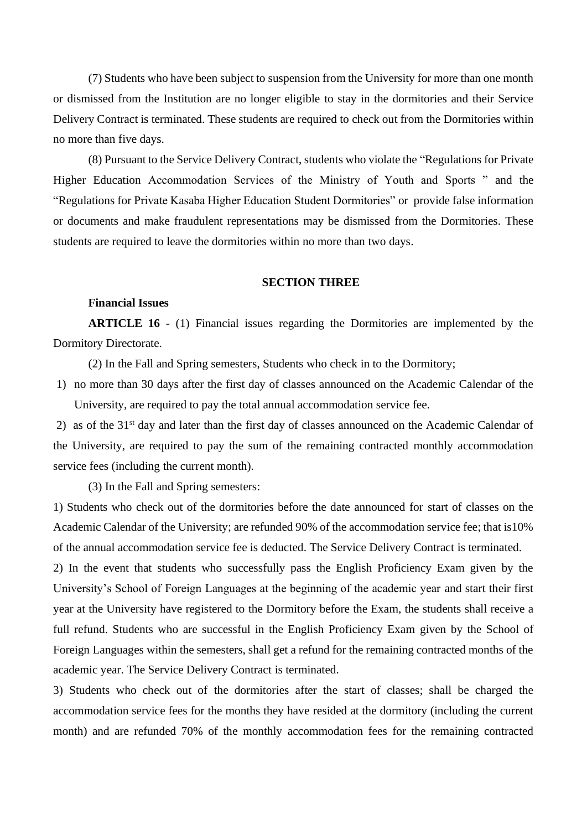(7) Students who have been subject to suspension from the University for more than one month or dismissed from the Institution are no longer eligible to stay in the dormitories and their Service Delivery Contract is terminated. These students are required to check out from the Dormitories within no more than five days.

(8) Pursuant to the Service Delivery Contract, students who violate the "Regulations for Private Higher Education Accommodation Services of the Ministry of Youth and Sports " and the "Regulations for Private Kasaba Higher Education Student Dormitories" or provide false information or documents and make fraudulent representations may be dismissed from the Dormitories. These students are required to leave the dormitories within no more than two days.

### **SECTION THREE**

### **Financial Issues**

**ARTICLE 16** - (1) Financial issues regarding the Dormitories are implemented by the Dormitory Directorate.

(2) In the Fall and Spring semesters, Students who check in to the Dormitory;

1) no more than 30 days after the first day of classes announced on the Academic Calendar of the University, are required to pay the total annual accommodation service fee.

2) as of the 31<sup>st</sup> day and later than the first day of classes announced on the Academic Calendar of the University, are required to pay the sum of the remaining contracted monthly accommodation service fees (including the current month).

(3) In the Fall and Spring semesters:

1) Students who check out of the dormitories before the date announced for start of classes on the Academic Calendar of the University; are refunded 90% of the accommodation service fee; that is10% of the annual accommodation service fee is deducted. The Service Delivery Contract is terminated.

2) In the event that students who successfully pass the English Proficiency Exam given by the University's School of Foreign Languages at the beginning of the academic year and start their first year at the University have registered to the Dormitory before the Exam, the students shall receive a full refund. Students who are successful in the English Proficiency Exam given by the School of Foreign Languages within the semesters, shall get a refund for the remaining contracted months of the academic year. The Service Delivery Contract is terminated.

3) Students who check out of the dormitories after the start of classes; shall be charged the accommodation service fees for the months they have resided at the dormitory (including the current month) and are refunded 70% of the monthly accommodation fees for the remaining contracted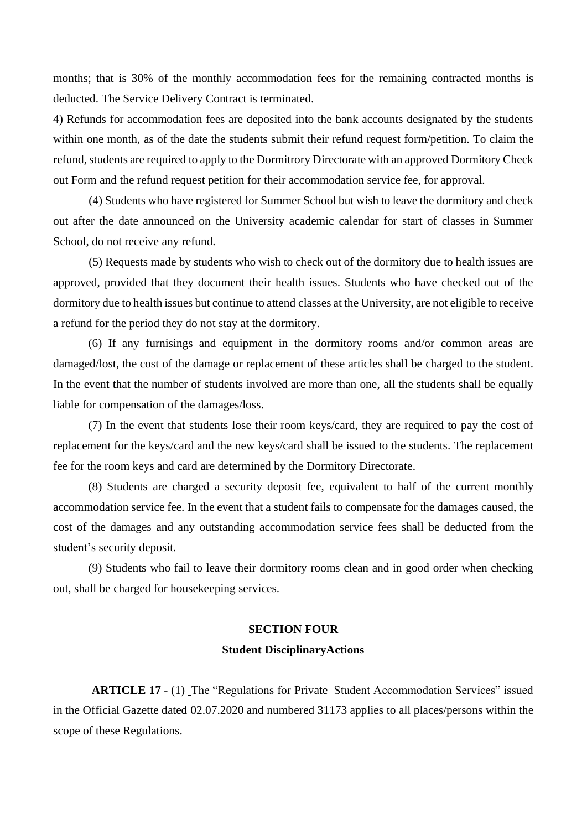months; that is 30% of the monthly accommodation fees for the remaining contracted months is deducted. The Service Delivery Contract is terminated.

4) Refunds for accommodation fees are deposited into the bank accounts designated by the students within one month, as of the date the students submit their refund request form/petition. To claim the refund, students are required to apply to the Dormitrory Directorate with an approved Dormitory Check out Form and the refund request petition for their accommodation service fee, for approval.

(4) Students who have registered for Summer School but wish to leave the dormitory and check out after the date announced on the University academic calendar for start of classes in Summer School, do not receive any refund.

(5) Requests made by students who wish to check out of the dormitory due to health issues are approved, provided that they document their health issues. Students who have checked out of the dormitory due to health issues but continue to attend classes at the University, are not eligible to receive a refund for the period they do not stay at the dormitory.

(6) If any furnisings and equipment in the dormitory rooms and/or common areas are damaged/lost, the cost of the damage or replacement of these articles shall be charged to the student. In the event that the number of students involved are more than one, all the students shall be equally liable for compensation of the damages/loss.

(7) In the event that students lose their room keys/card, they are required to pay the cost of replacement for the keys/card and the new keys/card shall be issued to the students. The replacement fee for the room keys and card are determined by the Dormitory Directorate.

(8) Students are charged a security deposit fee, equivalent to half of the current monthly accommodation service fee. In the event that a student fails to compensate for the damages caused, the cost of the damages and any outstanding accommodation service fees shall be deducted from the student's security deposit.

(9) Students who fail to leave their dormitory rooms clean and in good order when checking out, shall be charged for housekeeping services.

## **SECTION FOUR Student DisciplinaryActions**

 **ARTICLE 17** - (1) The "Regulations for Private Student Accommodation Services" issued in the Official Gazette dated 02.07.2020 and numbered 31173 applies to all places/persons within the scope of these Regulations.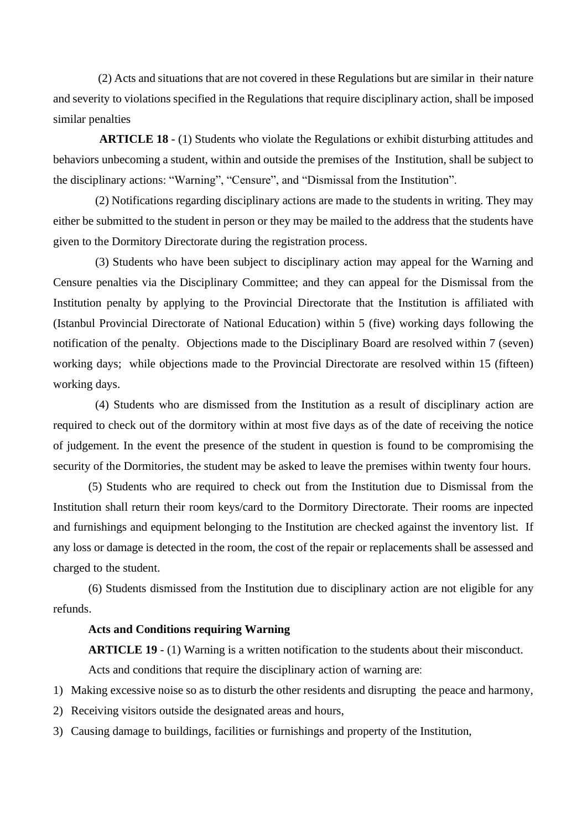(2) Acts and situations that are not covered in these Regulations but are similar in their nature and severity to violations specified in the Regulations that require disciplinary action, shall be imposed similar penalties

**ARTICLE 18** - (1) Students who violate the Regulations or exhibit disturbing attitudes and behaviors unbecoming a student, within and outside the premises of the Institution, shall be subject to the disciplinary actions: "Warning", "Censure", and "Dismissal from the Institution".

(2) Notifications regarding disciplinary actions are made to the students in writing. They may either be submitted to the student in person or they may be mailed to the address that the students have given to the Dormitory Directorate during the registration process.

(3) Students who have been subject to disciplinary action may appeal for the Warning and Censure penalties via the Disciplinary Committee; and they can appeal for the Dismissal from the Institution penalty by applying to the Provincial Directorate that the Institution is affiliated with (Istanbul Provincial Directorate of National Education) within 5 (five) working days following the notification of the penalty. Objections made to the Disciplinary Board are resolved within 7 (seven) working days; while objections made to the Provincial Directorate are resolved within 15 (fifteen) working days.

(4) Students who are dismissed from the Institution as a result of disciplinary action are required to check out of the dormitory within at most five days as of the date of receiving the notice of judgement. In the event the presence of the student in question is found to be compromising the security of the Dormitories, the student may be asked to leave the premises within twenty four hours.

(5) Students who are required to check out from the Institution due to Dismissal from the Institution shall return their room keys/card to the Dormitory Directorate. Their rooms are inpected and furnishings and equipment belonging to the Institution are checked against the inventory list. If any loss or damage is detected in the room, the cost of the repair or replacements shall be assessed and charged to the student.

(6) Students dismissed from the Institution due to disciplinary action are not eligible for any refunds.

## **Acts and Conditions requiring Warning**

**ARTICLE 19** - (1) Warning is a written notification to the students about their misconduct.

Acts and conditions that require the disciplinary action of warning are:

- 1) Making excessive noise so as to disturb the other residents and disrupting the peace and harmony,
- 2) Receiving visitors outside the designated areas and hours,
- 3) Causing damage to buildings, facilities or furnishings and property of the Institution,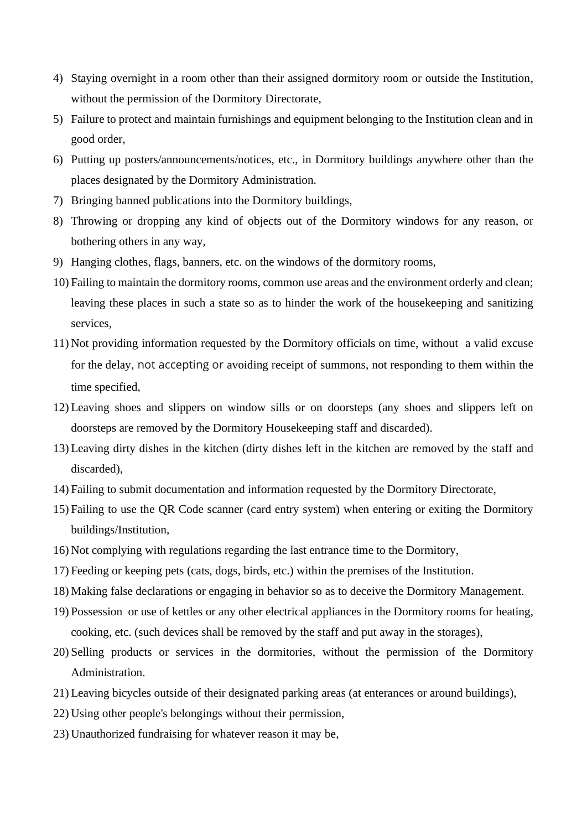- 4) Staying overnight in a room other than their assigned dormitory room or outside the Institution, without the permission of the Dormitory Directorate,
- 5) Failure to protect and maintain furnishings and equipment belonging to the Institution clean and in good order,
- 6) Putting up posters/announcements/notices, etc., in Dormitory buildings anywhere other than the places designated by the Dormitory Administration.
- 7) Bringing banned publications into the Dormitory buildings,
- 8) Throwing or dropping any kind of objects out of the Dormitory windows for any reason, or bothering others in any way,
- 9) Hanging clothes, flags, banners, etc. on the windows of the dormitory rooms,
- 10) Failing to maintain the dormitory rooms, common use areas and the environment orderly and clean; leaving these places in such a state so as to hinder the work of the housekeeping and sanitizing services,
- 11) Not providing information requested by the Dormitory officials on time, without a valid excuse for the delay, not accepting or avoiding receipt of summons, not responding to them within the time specified,
- 12) Leaving shoes and slippers on window sills or on doorsteps (any shoes and slippers left on doorsteps are removed by the Dormitory Housekeeping staff and discarded).
- 13) Leaving dirty dishes in the kitchen (dirty dishes left in the kitchen are removed by the staff and discarded),
- 14) Failing to submit documentation and information requested by the Dormitory Directorate,
- 15) Failing to use the QR Code scanner (card entry system) when entering or exiting the Dormitory buildings/Institution,
- 16) Not complying with regulations regarding the last entrance time to the Dormitory,
- 17) Feeding or keeping pets (cats, dogs, birds, etc.) within the premises of the Institution.
- 18) Making false declarations or engaging in behavior so as to deceive the Dormitory Management.
- 19) Possession or use of kettles or any other electrical appliances in the Dormitory rooms for heating, cooking, etc. (such devices shall be removed by the staff and put away in the storages),
- 20) Selling products or services in the dormitories, without the permission of the Dormitory Administration.
- 21) Leaving bicycles outside of their designated parking areas (at enterances or around buildings),
- 22) Using other people's belongings without their permission,
- 23) Unauthorized fundraising for whatever reason it may be,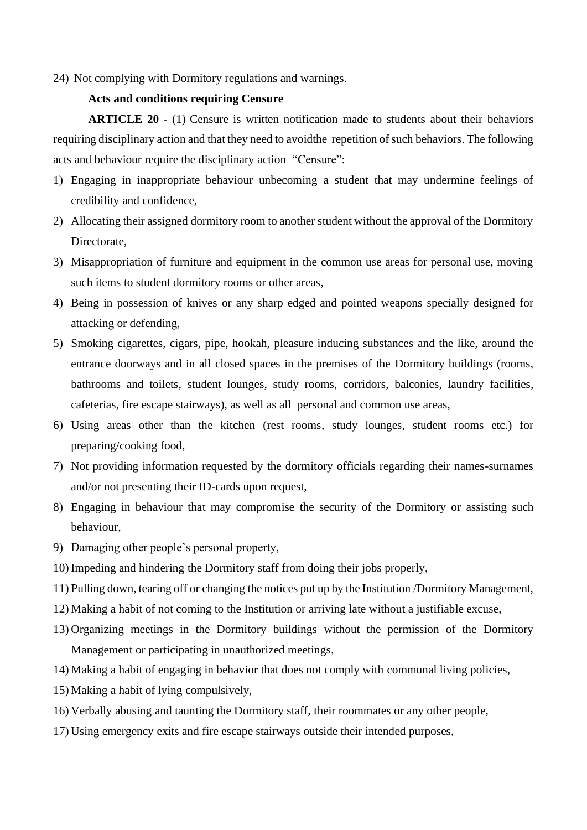## 24) Not complying with Dormitory regulations and warnings.

## **Acts and conditions requiring Censure**

**ARTICLE 20** - (1) Censure is written notification made to students about their behaviors requiring disciplinary action and that they need to avoidthe repetition of such behaviors. The following acts and behaviour require the disciplinary action "Censure":

- 1) Engaging in inappropriate behaviour unbecoming a student that may undermine feelings of credibility and confidence,
- 2) Allocating their assigned dormitory room to another student without the approval of the Dormitory Directorate,
- 3) Misappropriation of furniture and equipment in the common use areas for personal use, moving such items to student dormitory rooms or other areas,
- 4) Being in possession of knives or any sharp edged and pointed weapons specially designed for attacking or defending,
- 5) Smoking cigarettes, cigars, pipe, hookah, pleasure inducing substances and the like, around the entrance doorways and in all closed spaces in the premises of the Dormitory buildings (rooms, bathrooms and toilets, student lounges, study rooms, corridors, balconies, laundry facilities, cafeterias, fire escape stairways), as well as all personal and common use areas,
- 6) Using areas other than the kitchen (rest rooms, study lounges, student rooms etc.) for preparing/cooking food,
- 7) Not providing information requested by the dormitory officials regarding their names-surnames and/or not presenting their ID-cards upon request,
- 8) Engaging in behaviour that may compromise the security of the Dormitory or assisting such behaviour,
- 9) Damaging other people's personal property,
- 10) Impeding and hindering the Dormitory staff from doing their jobs properly,
- 11) Pulling down, tearing off or changing the notices put up by the Institution /Dormitory Management,
- 12) Making a habit of not coming to the Institution or arriving late without a justifiable excuse,
- 13) Organizing meetings in the Dormitory buildings without the permission of the Dormitory Management or participating in unauthorized meetings,
- 14) Making a habit of engaging in behavior that does not comply with communal living policies,
- 15) Making a habit of lying compulsively,
- 16) Verbally abusing and taunting the Dormitory staff, their roommates or any other people,
- 17) Using emergency exits and fire escape stairways outside their intended purposes,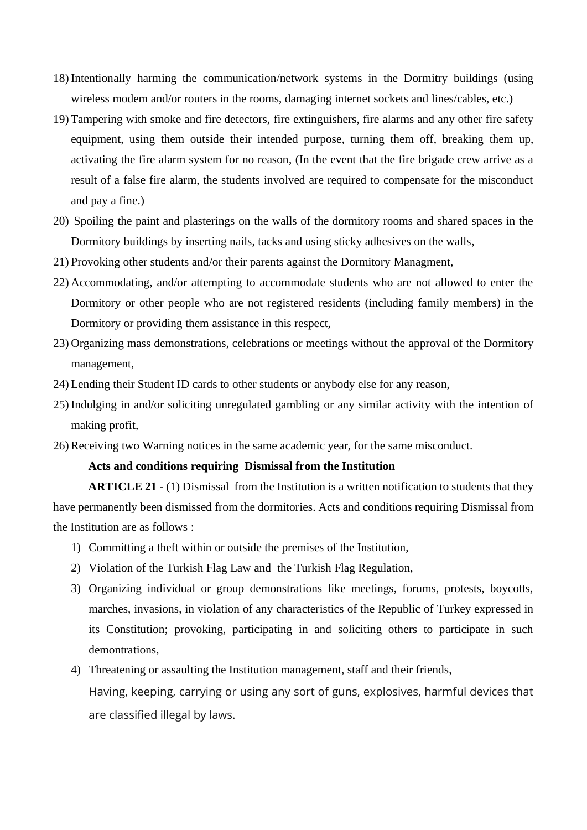- 18) Intentionally harming the communication/network systems in the Dormitry buildings (using wireless modem and/or routers in the rooms, damaging internet sockets and lines/cables, etc.)
- 19) Tampering with smoke and fire detectors, fire extinguishers, fire alarms and any other fire safety equipment, using them outside their intended purpose, turning them off, breaking them up, activating the fire alarm system for no reason, (In the event that the fire brigade crew arrive as a result of a false fire alarm, the students involved are required to compensate for the misconduct and pay a fine.)
- 20) Spoiling the paint and plasterings on the walls of the dormitory rooms and shared spaces in the Dormitory buildings by inserting nails, tacks and using sticky adhesives on the walls,
- 21) Provoking other students and/or their parents against the Dormitory Managment,
- 22) Accommodating, and/or attempting to accommodate students who are not allowed to enter the Dormitory or other people who are not registered residents (including family members) in the Dormitory or providing them assistance in this respect,
- 23) Organizing mass demonstrations, celebrations or meetings without the approval of the Dormitory management,
- 24) Lending their Student ID cards to other students or anybody else for any reason,
- 25) Indulging in and/or soliciting unregulated gambling or any similar activity with the intention of making profit,
- 26) Receiving two Warning notices in the same academic year, for the same misconduct.

## **Acts and conditions requiring Dismissal from the Institution**

**ARTICLE 21** - (1) Dismissal from the Institution is a written notification to students that they have permanently been dismissed from the dormitories. Acts and conditions requiring Dismissal from the Institution are as follows :

- 1) Committing a theft within or outside the premises of the Institution,
- 2) Violation of the Turkish Flag Law and the Turkish Flag Regulation,
- 3) Organizing individual or group demonstrations like meetings, forums, protests, boycotts, marches, invasions, in violation of any characteristics of the Republic of Turkey expressed in its Constitution; provoking, participating in and soliciting others to participate in such demontrations,
- 4) Threatening or assaulting the Institution management, staff and their friends, Having, keeping, carrying or using any sort of guns, explosives, harmful devices that are classified illegal by laws.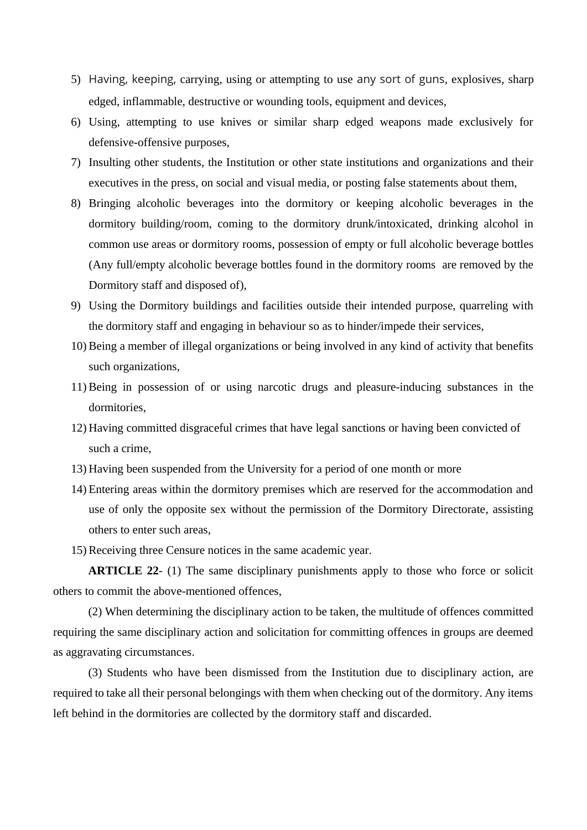- 5) Having, keeping, carrying, using or attempting to use any sort of guns, explosives, sharp edged, inflammable, destructive or wounding tools, equipment and devices,
- 6) Using, attempting to use knives or similar sharp edged weapons made exclusively for defensive-offensive purposes,
- 7) Insulting other students, the Institution or other state institutions and organizations and their executives in the press, on social and visual media, or posting false statements about them,
- 8) Bringing alcoholic beverages into the dormitory or keeping alcoholic beverages in the dormitory building/room, coming to the dormitory drunk/intoxicated, drinking alcohol in common use areas or dormitory rooms, possession of empty or full alcoholic beverage bottles (Any full/empty alcoholic beverage bottles found in the dormitory rooms are removed by the Dormitory staff and disposed of),
- 9) Using the Dormitory buildings and facilities outside their intended purpose, quarreling with the dormitory staff and engaging in behaviour so as to hinder/impede their services,
- 10) Being a member of illegal organizations or being involved in any kind of activity that benefits such organizations,
- 11) Being in possession of or using narcotic drugs and pleasure-inducing substances in the dormitories,
- 12) Having committed disgraceful crimes that have legal sanctions or having been convicted of such a crime,
- 13) Having been suspended from the University for a period of one month or more
- 14) Entering areas within the dormitory premises which are reserved for the accommodation and use of only the opposite sex without the permission of the Dormitory Directorate, assisting others to enter such areas,
- 15) Receiving three Censure notices in the same academic year.

**ARTICLE 22**- (1) The same disciplinary punishments apply to those who force or solicit others to commit the above-mentioned offences,

(2) When determining the disciplinary action to be taken, the multitude of offences committed requiring the same disciplinary action and solicitation for committing offences in groups are deemed as aggravating circumstances.

(3) Students who have been dismissed from the Institution due to disciplinary action, are required to take all their personal belongings with them when checking out of the dormitory. Any items left behind in the dormitories are collected by the dormitory staff and discarded.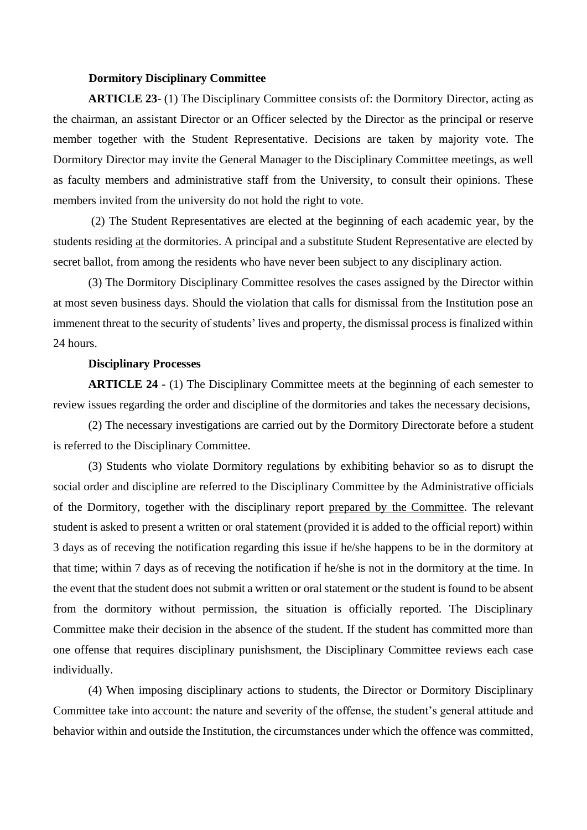### **Dormitory Disciplinary Committee**

**ARTICLE 23**- (1) The Disciplinary Committee consists of: the Dormitory Director, acting as the chairman, an assistant Director or an Officer selected by the Director as the principal or reserve member together with the Student Representative. Decisions are taken by majority vote. The Dormitory Director may invite the General Manager to the Disciplinary Committee meetings, as well as faculty members and administrative staff from the University, to consult their opinions. These members invited from the university do not hold the right to vote.

(2) The Student Representatives are elected at the beginning of each academic year, by the students residing at the dormitories. A principal and a substitute Student Representative are elected by secret ballot, from among the residents who have never been subject to any disciplinary action.

(3) The Dormitory Disciplinary Committee resolves the cases assigned by the Director within at most seven business days. Should the violation that calls for dismissal from the Institution pose an immenent threat to the security of students' lives and property, the dismissal process is finalized within 24 hours.

## **Disciplinary Processes**

**ARTICLE 24** - (1) The Disciplinary Committee meets at the beginning of each semester to review issues regarding the order and discipline of the dormitories and takes the necessary decisions,

(2) The necessary investigations are carried out by the Dormitory Directorate before a student is referred to the Disciplinary Committee.

(3) Students who violate Dormitory regulations by exhibiting behavior so as to disrupt the social order and discipline are referred to the Disciplinary Committee by the Administrative officials of the Dormitory, together with the disciplinary report prepared by the Committee. The relevant student is asked to present a written or oral statement (provided it is added to the official report) within 3 days as of receving the notification regarding this issue if he/she happens to be in the dormitory at that time; within 7 days as of receving the notification if he/she is not in the dormitory at the time. In the event that the student does not submit a written or oral statement or the student is found to be absent from the dormitory without permission, the situation is officially reported. The Disciplinary Committee make their decision in the absence of the student. If the student has committed more than one offense that requires disciplinary punishsment, the Disciplinary Committee reviews each case individually.

(4) When imposing disciplinary actions to students, the Director or Dormitory Disciplinary Committee take into account: the nature and severity of the offense, the student's general attitude and behavior within and outside the Institution, the circumstances under which the offence was committed,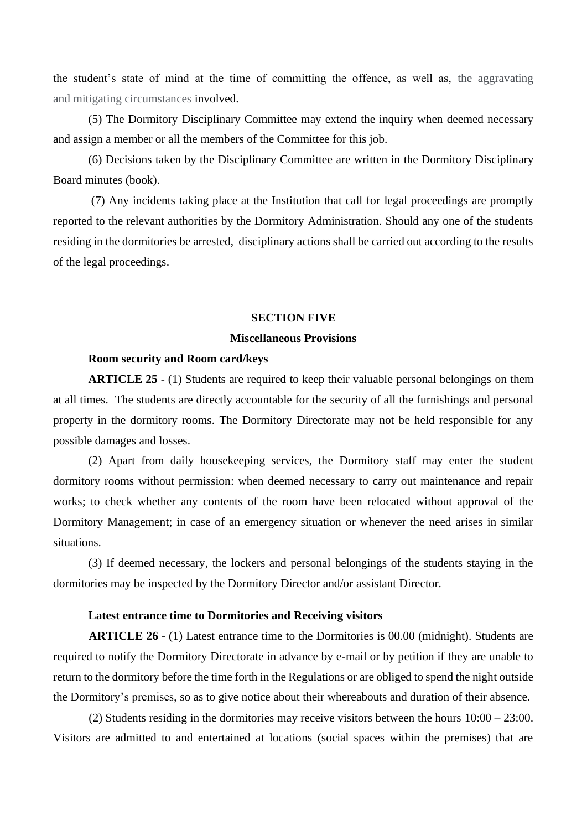the student's state of mind at the time of committing the offence, as well as, the aggravating and mitigating circumstances involved.

(5) The Dormitory Disciplinary Committee may extend the inquiry when deemed necessary and assign a member or all the members of the Committee for this job.

(6) Decisions taken by the Disciplinary Committee are written in the Dormitory Disciplinary Board minutes (book).

(7) Any incidents taking place at the Institution that call for legal proceedings are promptly reported to the relevant authorities by the Dormitory Administration. Should any one of the students residing in the dormitories be arrested, disciplinary actions shall be carried out according to the results of the legal proceedings.

### **SECTION FIVE**

### **Miscellaneous Provisions**

### **Room security and Room card/keys**

**ARTICLE 25** - (1) Students are required to keep their valuable personal belongings on them at all times. The students are directly accountable for the security of all the furnishings and personal property in the dormitory rooms. The Dormitory Directorate may not be held responsible for any possible damages and losses.

(2) Apart from daily housekeeping services, the Dormitory staff may enter the student dormitory rooms without permission: when deemed necessary to carry out maintenance and repair works; to check whether any contents of the room have been relocated without approval of the Dormitory Management; in case of an emergency situation or whenever the need arises in similar situations.

(3) If deemed necessary, the lockers and personal belongings of the students staying in the dormitories may be inspected by the Dormitory Director and/or assistant Director.

### **Latest entrance time to Dormitories and Receiving visitors**

**ARTICLE 26** - (1) Latest entrance time to the Dormitories is 00.00 (midnight). Students are required to notify the Dormitory Directorate in advance by e-mail or by petition if they are unable to return to the dormitory before the time forth in the Regulations or are obliged to spend the night outside the Dormitory's premises, so as to give notice about their whereabouts and duration of their absence.

(2) Students residing in the dormitories may receive visitors between the hours 10:00 – 23:00. Visitors are admitted to and entertained at locations (social spaces within the premises) that are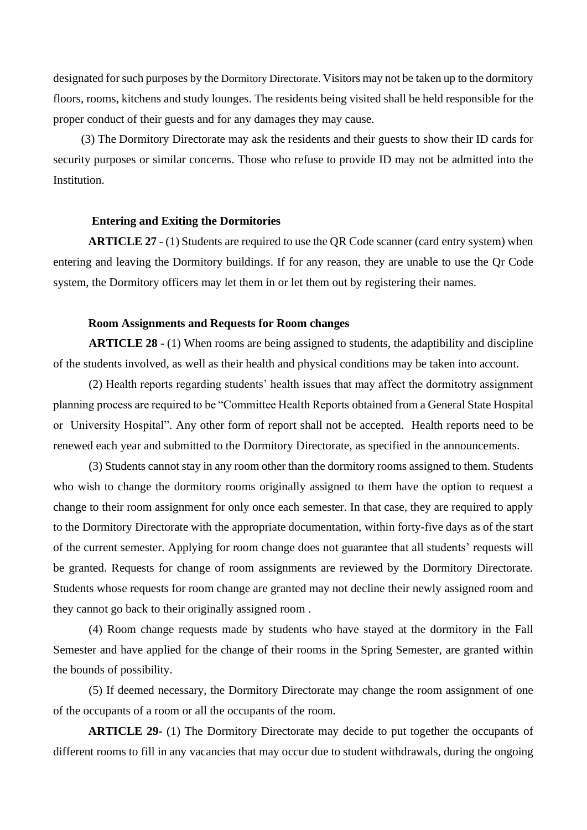designated for such purposes by the Dormitory Directorate. Visitors may not be taken up to the dormitory floors, rooms, kitchens and study lounges. The residents being visited shall be held responsible for the proper conduct of their guests and for any damages they may cause.

(3) The Dormitory Directorate may ask the residents and their guests to show their ID cards for security purposes or similar concerns. Those who refuse to provide ID may not be admitted into the Institution.

## **Entering and Exiting the Dormitories**

**ARTICLE 27** - (1) Students are required to use the QR Code scanner (card entry system) when entering and leaving the Dormitory buildings. If for any reason, they are unable to use the Qr Code system, the Dormitory officers may let them in or let them out by registering their names.

### **Room Assignments and Requests for Room changes**

**ARTICLE 28** - (1) When rooms are being assigned to students, the adaptibility and discipline of the students involved, as well as their health and physical conditions may be taken into account.

(2) Health reports regarding students' health issues that may affect the dormitotry assignment planning process are required to be "Committee Health Reports obtained from a General State Hospital or University Hospital". Any other form of report shall not be accepted. Health reports need to be renewed each year and submitted to the Dormitory Directorate, as specified in the announcements.

(3) Students cannot stay in any room other than the dormitory rooms assigned to them. Students who wish to change the dormitory rooms originally assigned to them have the option to request a change to their room assignment for only once each semester. In that case, they are required to apply to the Dormitory Directorate with the appropriate documentation, within forty-five days as of the start of the current semester. Applying for room change does not guarantee that all students' requests will be granted. Requests for change of room assignments are reviewed by the Dormitory Directorate. Students whose requests for room change are granted may not decline their newly assigned room and they cannot go back to their originally assigned room .

(4) Room change requests made by students who have stayed at the dormitory in the Fall Semester and have applied for the change of their rooms in the Spring Semester, are granted within the bounds of possibility.

(5) If deemed necessary, the Dormitory Directorate may change the room assignment of one of the occupants of a room or all the occupants of the room.

**ARTICLE 29-** (1) The Dormitory Directorate may decide to put together the occupants of different rooms to fill in any vacancies that may occur due to student withdrawals, during the ongoing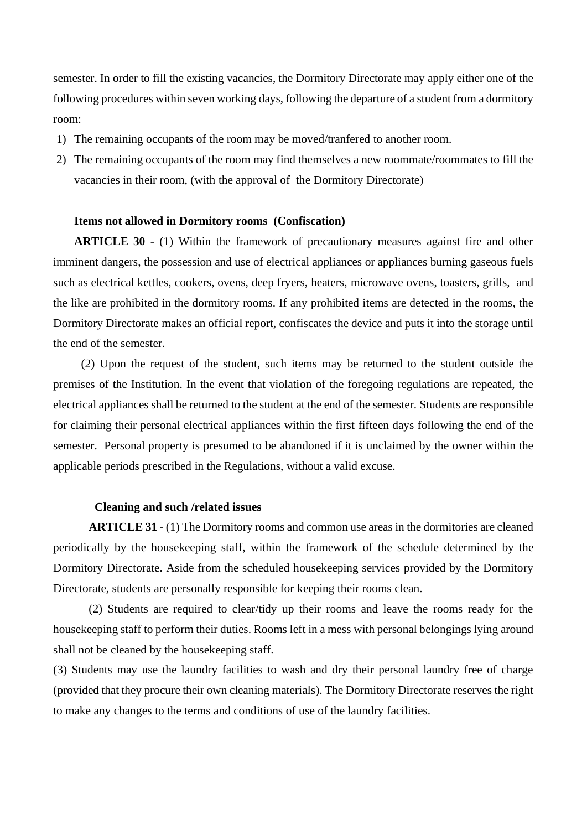semester. In order to fill the existing vacancies, the Dormitory Directorate may apply either one of the following procedures within seven working days, following the departure of a student from a dormitory room:

- 1) The remaining occupants of the room may be moved/tranfered to another room.
- 2) The remaining occupants of the room may find themselves a new roommate/roommates to fill the vacancies in their room, (with the approval of the Dormitory Directorate)

### **Items not allowed in Dormitory rooms (Confiscation)**

**ARTICLE 30** - (1) Within the framework of precautionary measures against fire and other imminent dangers, the possession and use of electrical appliances or appliances burning gaseous fuels such as electrical kettles, cookers, ovens, deep fryers, heaters, microwave ovens, toasters, grills, and the like are prohibited in the dormitory rooms. If any prohibited items are detected in the rooms, the Dormitory Directorate makes an official report, confiscates the device and puts it into the storage until the end of the semester.

(2) Upon the request of the student, such items may be returned to the student outside the premises of the Institution. In the event that violation of the foregoing regulations are repeated, the electrical appliances shall be returned to the student at the end of the semester. Students are responsible for claiming their personal electrical appliances within the first fifteen days following the end of the semester. Personal property is presumed to be abandoned if it is unclaimed by the owner within the applicable periods prescribed in the Regulations, without a valid excuse.

### **Cleaning and such /related issues**

**ARTICLE 31** - (1) The Dormitory rooms and common use areas in the dormitories are cleaned periodically by the housekeeping staff, within the framework of the schedule determined by the Dormitory Directorate. Aside from the scheduled housekeeping services provided by the Dormitory Directorate, students are personally responsible for keeping their rooms clean.

(2) Students are required to clear/tidy up their rooms and leave the rooms ready for the housekeeping staff to perform their duties. Rooms left in a mess with personal belongings lying around shall not be cleaned by the housekeeping staff.

(3) Students may use the laundry facilities to wash and dry their personal laundry free of charge (provided that they procure their own cleaning materials). The Dormitory Directorate reserves the right to make any changes to the terms and conditions of use of the laundry facilities.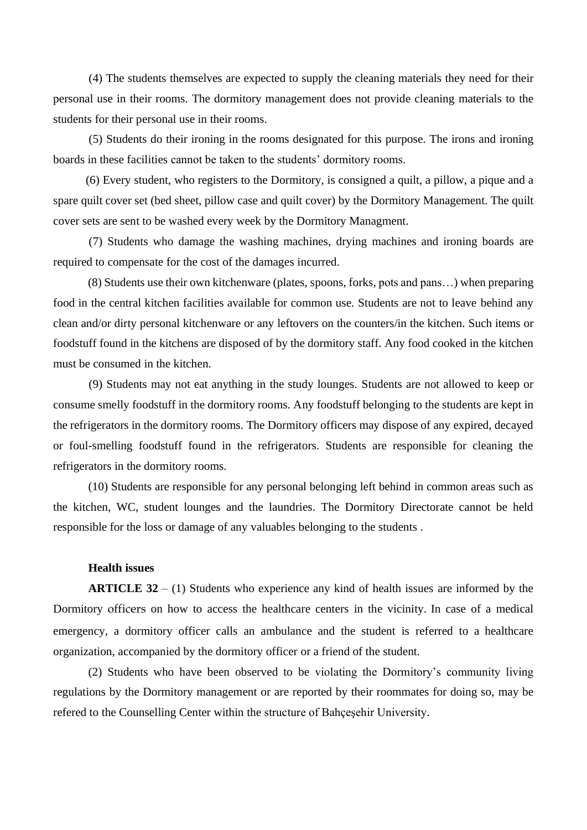(4) The students themselves are expected to supply the cleaning materials they need for their personal use in their rooms. The dormitory management does not provide cleaning materials to the students for their personal use in their rooms.

(5) Students do their ironing in the rooms designated for this purpose. The irons and ironing boards in these facilities cannot be taken to the students' dormitory rooms.

 (6) Every student, who registers to the Dormitory, is consigned a quilt, a pillow, a pique and a spare quilt cover set (bed sheet, pillow case and quilt cover) by the Dormitory Management. The quilt cover sets are sent to be washed every week by the Dormitory Managment.

(7) Students who damage the washing machines, drying machines and ironing boards are required to compensate for the cost of the damages incurred.

 (8) Students use their own kitchenware (plates, spoons, forks, pots and pans…) when preparing food in the central kitchen facilities available for common use. Students are not to leave behind any clean and/or dirty personal kitchenware or any leftovers on the counters/in the kitchen. Such items or foodstuff found in the kitchens are disposed of by the dormitory staff. Any food cooked in the kitchen must be consumed in the kitchen.

 (9) Students may not eat anything in the study lounges. Students are not allowed to keep or consume smelly foodstuff in the dormitory rooms. Any foodstuff belonging to the students are kept in the refrigerators in the dormitory rooms. The Dormitory officers may dispose of any expired, decayed or foul-smelling foodstuff found in the refrigerators. Students are responsible for cleaning the refrigerators in the dormitory rooms.

(10) Students are responsible for any personal belonging left behind in common areas such as the kitchen, WC, student lounges and the laundries. The Dormitory Directorate cannot be held responsible for the loss or damage of any valuables belonging to the students .

## **Health issues**

**ARTICLE 32** – (1) Students who experience any kind of health issues are informed by the Dormitory officers on how to access the healthcare centers in the vicinity. In case of a medical emergency, a dormitory officer calls an ambulance and the student is referred to a healthcare organization, accompanied by the dormitory officer or a friend of the student.

(2) Students who have been observed to be violating the Dormitory's community living regulations by the Dormitory management or are reported by their roommates for doing so, may be refered to the Counselling Center within the structure of Bahçeşehir University.